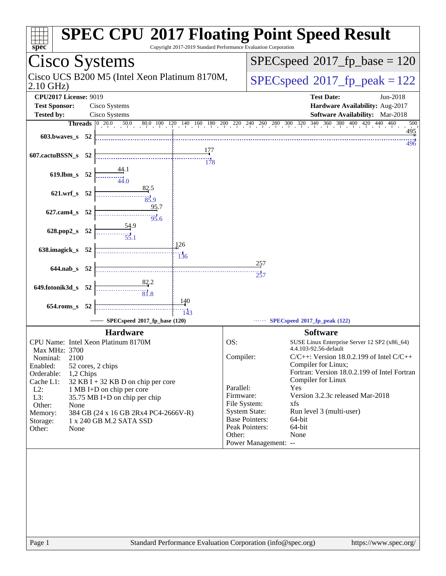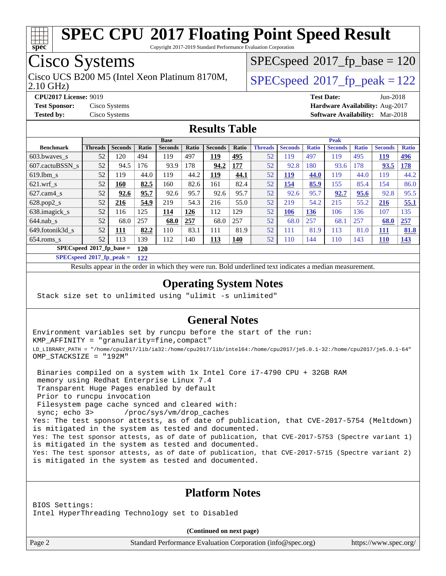

Copyright 2017-2019 Standard Performance Evaluation Corporation

## Cisco Systems

2.10 GHz) Cisco UCS B200 M5 (Intel Xeon Platinum 8170M,  $\vert$  [SPECspeed](http://www.spec.org/auto/cpu2017/Docs/result-fields.html#SPECspeed2017fppeak)®2017 fp\_peak = 122

 $SPEC speed^{\circ}2017\_fp\_base = 120$ 

**[CPU2017 License:](http://www.spec.org/auto/cpu2017/Docs/result-fields.html#CPU2017License)** 9019 **[Test Date:](http://www.spec.org/auto/cpu2017/Docs/result-fields.html#TestDate)** Jun-2018 **[Test Sponsor:](http://www.spec.org/auto/cpu2017/Docs/result-fields.html#TestSponsor)** Cisco Systems **[Hardware Availability:](http://www.spec.org/auto/cpu2017/Docs/result-fields.html#HardwareAvailability)** Aug-2017 **[Tested by:](http://www.spec.org/auto/cpu2017/Docs/result-fields.html#Testedby)** Cisco Systems **[Software Availability:](http://www.spec.org/auto/cpu2017/Docs/result-fields.html#SoftwareAvailability)** Mar-2018

#### **[Results Table](http://www.spec.org/auto/cpu2017/Docs/result-fields.html#ResultsTable)**

|                          | <b>Base</b>                |                |       |                |              | <b>Peak</b>    |            |                |                |              |                |              |                |              |
|--------------------------|----------------------------|----------------|-------|----------------|--------------|----------------|------------|----------------|----------------|--------------|----------------|--------------|----------------|--------------|
| <b>Benchmark</b>         | <b>Threads</b>             | <b>Seconds</b> | Ratio | <b>Seconds</b> | <b>Ratio</b> | <b>Seconds</b> | Ratio      | <b>Threads</b> | <b>Seconds</b> | <b>Ratio</b> | <b>Seconds</b> | <b>Ratio</b> | <b>Seconds</b> | <b>Ratio</b> |
| $603.bwaves$ s           | 52                         | 120            | 494   | 119            | 497          | <u>119</u>     | 495        | 52             | 119            | 497          | 119            | 495          | <b>119</b>     | <u>496</u>   |
| 607.cactuBSSN s          | 52                         | 94.5           | 176   | 93.9           | 78           | 94.2           | <b>177</b> | 52             | 92.8           | 180          | 93.6           | 178          | 93.5           | <b>178</b>   |
| $619.1$ bm s             | 52                         | 119            | 44.0  | 119            | 44.2         | <u>119</u>     | 44.1       | 52             | <u> 119</u>    | 44.0         | 119            | 44.0         | 119            | 44.2         |
| $621$ .wrf s             | 52                         | 160            | 82.5  | 160            | 82.6         | 161            | 82.4       | 52             | 154            | 85.9         | 155            | 85.4         | 154            | 86.0         |
| $627$ .cam $4 \text{ s}$ | 52                         | 92.6           | 95.7  | 92.6           | 95.7         | 92.6           | 95.7       | 52             | 92.6           | 95.7         | 92.7           | 95.6         | 92.8           | 95.5         |
| $628.pop2_s$             | 52                         | 216            | 54.9  | 219            | 54.3         | 216            | 55.0       | 52             | 219            | 54.2         | 215            | 55.2         | 216            | 55.1         |
| 638.imagick_s            | 52                         | 116            | 125   | 114            | 126          | 112            | 129        | 52             | 106            | 136          | 106            | 136          | 107            | 135          |
| $644$ .nab s             | 52                         | 68.0           | 257   | 68.0           | 257          | 68.0           | 257        | 52             | 68.0           | 257          | 68.1           | 257          | 68.0           | 257          |
| 649.fotonik3d s          | 52                         | 111            | 82.2  | 110            | 83.1         | 111            | 81.9       | 52             | 111            | 81.9         | 113            | 81.0         | 111            | 81.8         |
| $654$ .roms s            | 52                         | 113            | 139   | 112            | 140          | <u>113</u>     | <b>140</b> | 52             | 110            | 144          | 110            | 143          | 110            | <u>143</u>   |
|                          | $SPECspeed*2017$ fp base = |                | 120   |                |              |                |            |                |                |              |                |              |                |              |

**[SPECspeed](http://www.spec.org/auto/cpu2017/Docs/result-fields.html#SPECspeed2017fppeak)[2017\\_fp\\_peak =](http://www.spec.org/auto/cpu2017/Docs/result-fields.html#SPECspeed2017fppeak) 122**

Results appear in the [order in which they were run.](http://www.spec.org/auto/cpu2017/Docs/result-fields.html#RunOrder) Bold underlined text [indicates a median measurement](http://www.spec.org/auto/cpu2017/Docs/result-fields.html#Median).

#### **[Operating System Notes](http://www.spec.org/auto/cpu2017/Docs/result-fields.html#OperatingSystemNotes)**

Stack size set to unlimited using "ulimit -s unlimited"

#### **[General Notes](http://www.spec.org/auto/cpu2017/Docs/result-fields.html#GeneralNotes)**

Environment variables set by runcpu before the start of the run: KMP\_AFFINITY = "granularity=fine,compact" LD\_LIBRARY\_PATH = "/home/cpu2017/lib/ia32:/home/cpu2017/lib/intel64:/home/cpu2017/je5.0.1-32:/home/cpu2017/je5.0.1-64" OMP\_STACKSIZE = "192M"

 Binaries compiled on a system with 1x Intel Core i7-4790 CPU + 32GB RAM memory using Redhat Enterprise Linux 7.4 Transparent Huge Pages enabled by default Prior to runcpu invocation Filesystem page cache synced and cleared with: sync; echo 3> /proc/sys/vm/drop\_caches Yes: The test sponsor attests, as of date of publication, that CVE-2017-5754 (Meltdown) is mitigated in the system as tested and documented. Yes: The test sponsor attests, as of date of publication, that CVE-2017-5753 (Spectre variant 1) is mitigated in the system as tested and documented. Yes: The test sponsor attests, as of date of publication, that CVE-2017-5715 (Spectre variant 2) is mitigated in the system as tested and documented.

#### **[Platform Notes](http://www.spec.org/auto/cpu2017/Docs/result-fields.html#PlatformNotes)**

BIOS Settings: Intel HyperThreading Technology set to Disabled

**(Continued on next page)**

Page 2 Standard Performance Evaluation Corporation [\(info@spec.org\)](mailto:info@spec.org) <https://www.spec.org/>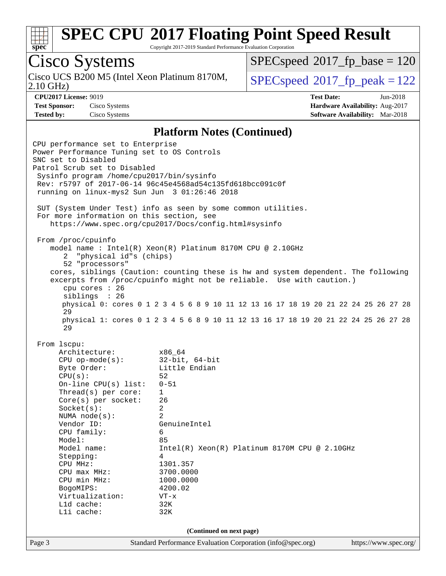

Copyright 2017-2019 Standard Performance Evaluation Corporation

# Cisco Systems

Cisco UCS B200 M5 (Intel Xeon Platinum 8170M,<br>2.10 GHz)

[SPECspeed](http://www.spec.org/auto/cpu2017/Docs/result-fields.html#SPECspeed2017fpbase)<sup>®</sup>2017 fp base = 120

 $SPEC speed$ <sup>®</sup> $2017<sub>rfp</sub> peak = 122$ 

**[CPU2017 License:](http://www.spec.org/auto/cpu2017/Docs/result-fields.html#CPU2017License)** 9019 **[Test Date:](http://www.spec.org/auto/cpu2017/Docs/result-fields.html#TestDate)** Jun-2018 **[Test Sponsor:](http://www.spec.org/auto/cpu2017/Docs/result-fields.html#TestSponsor)** Cisco Systems **[Hardware Availability:](http://www.spec.org/auto/cpu2017/Docs/result-fields.html#HardwareAvailability)** Aug-2017 **[Tested by:](http://www.spec.org/auto/cpu2017/Docs/result-fields.html#Testedby)** Cisco Systems **[Software Availability:](http://www.spec.org/auto/cpu2017/Docs/result-fields.html#SoftwareAvailability)** Mar-2018

#### **[Platform Notes \(Continued\)](http://www.spec.org/auto/cpu2017/Docs/result-fields.html#PlatformNotes)**

Page 3 Standard Performance Evaluation Corporation [\(info@spec.org\)](mailto:info@spec.org) <https://www.spec.org/> CPU performance set to Enterprise Power Performance Tuning set to OS Controls SNC set to Disabled Patrol Scrub set to Disabled Sysinfo program /home/cpu2017/bin/sysinfo Rev: r5797 of 2017-06-14 96c45e4568ad54c135fd618bcc091c0f running on linux-mys2 Sun Jun 3 01:26:46 2018 SUT (System Under Test) info as seen by some common utilities. For more information on this section, see <https://www.spec.org/cpu2017/Docs/config.html#sysinfo> From /proc/cpuinfo model name : Intel(R) Xeon(R) Platinum 8170M CPU @ 2.10GHz 2 "physical id"s (chips) 52 "processors" cores, siblings (Caution: counting these is hw and system dependent. The following excerpts from /proc/cpuinfo might not be reliable. Use with caution.) cpu cores : 26 siblings : 26 physical 0: cores 0 1 2 3 4 5 6 8 9 10 11 12 13 16 17 18 19 20 21 22 24 25 26 27 28 29 physical 1: cores 0 1 2 3 4 5 6 8 9 10 11 12 13 16 17 18 19 20 21 22 24 25 26 27 28 29 From lscpu: Architecture: x86\_64 CPU op-mode(s): 32-bit, 64-bit Byte Order: Little Endian  $CPU(s):$  52 On-line CPU(s) list: 0-51 Thread(s) per core: 1 Core(s) per socket: 26 Socket(s): 2 NUMA node(s): 2 Vendor ID: GenuineIntel CPU family: 6 Model: 85 Model name: Intel(R) Xeon(R) Platinum 8170M CPU @ 2.10GHz Stepping: 4 CPU MHz: 1301.357 CPU max MHz: 3700.0000 CPU min MHz:  $1000.0000$ <br>BogoMIPS:  $4200.02$ BogoMIPS: Virtualization: VT-x L1d cache: 32K L1i cache: 32K **(Continued on next page)**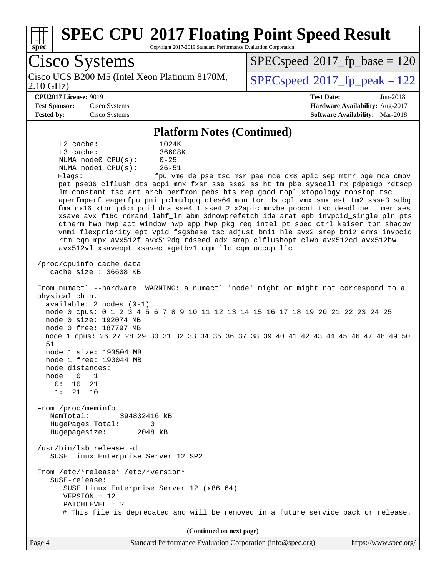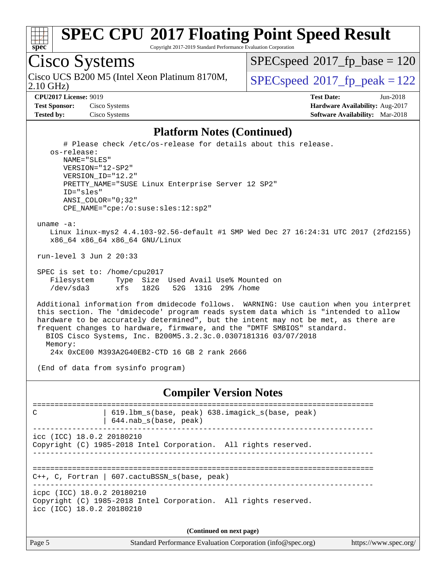

Copyright 2017-2019 Standard Performance Evaluation Corporation

Cisco Systems

2.10 GHz) Cisco UCS B200 M5 (Intel Xeon Platinum 8170M,  $\vert$  [SPECspeed](http://www.spec.org/auto/cpu2017/Docs/result-fields.html#SPECspeed2017fppeak)®2017 fp\_peak = 122

[SPECspeed](http://www.spec.org/auto/cpu2017/Docs/result-fields.html#SPECspeed2017fpbase)<sup>®</sup>2017 fp base = 120

**[Test Sponsor:](http://www.spec.org/auto/cpu2017/Docs/result-fields.html#TestSponsor)** Cisco Systems **[Hardware Availability:](http://www.spec.org/auto/cpu2017/Docs/result-fields.html#HardwareAvailability)** Aug-2017

**[CPU2017 License:](http://www.spec.org/auto/cpu2017/Docs/result-fields.html#CPU2017License)** 9019 **[Test Date:](http://www.spec.org/auto/cpu2017/Docs/result-fields.html#TestDate)** Jun-2018 **[Tested by:](http://www.spec.org/auto/cpu2017/Docs/result-fields.html#Testedby)** Cisco Systems **[Software Availability:](http://www.spec.org/auto/cpu2017/Docs/result-fields.html#SoftwareAvailability)** Mar-2018

#### **[Platform Notes \(Continued\)](http://www.spec.org/auto/cpu2017/Docs/result-fields.html#PlatformNotes)**

 # Please check /etc/os-release for details about this release. os-release: NAME="SLES" VERSION="12-SP2" VERSION\_ID="12.2" PRETTY\_NAME="SUSE Linux Enterprise Server 12 SP2" ID="sles" ANSI\_COLOR="0;32" CPE\_NAME="cpe:/o:suse:sles:12:sp2" uname -a: Linux linux-mys2 4.4.103-92.56-default #1 SMP Wed Dec 27 16:24:31 UTC 2017 (2fd2155) x86\_64 x86\_64 x86\_64 GNU/Linux run-level 3 Jun 2 20:33 SPEC is set to: /home/cpu2017<br>Filesystem Type Size Type Size Used Avail Use% Mounted on /dev/sda3 xfs 182G 52G 131G 29% /home

 Additional information from dmidecode follows. WARNING: Use caution when you interpret this section. The 'dmidecode' program reads system data which is "intended to allow hardware to be accurately determined", but the intent may not be met, as there are frequent changes to hardware, firmware, and the "DMTF SMBIOS" standard. BIOS Cisco Systems, Inc. B200M5.3.2.3c.0.0307181316 03/07/2018 Memory:

24x 0xCE00 M393A2G40EB2-CTD 16 GB 2 rank 2666

(End of data from sysinfo program)

#### **[Compiler Version Notes](http://www.spec.org/auto/cpu2017/Docs/result-fields.html#CompilerVersionNotes)**

============================================================================== C 19.1bm s(base, peak) 638.imagick s(base, peak) | 644.nab\_s(base, peak) ----------------------------------------------------------------------------- icc (ICC) 18.0.2 20180210 Copyright (C) 1985-2018 Intel Corporation. All rights reserved. ------------------------------------------------------------------------------ ============================================================================== C++, C, Fortran | 607.cactuBSSN\_s(base, peak) ----------------------------------------------------------------------------- icpc (ICC) 18.0.2 20180210 Copyright (C) 1985-2018 Intel Corporation. All rights reserved. icc (ICC) 18.0.2 20180210 **(Continued on next page)**

Page 5 Standard Performance Evaluation Corporation [\(info@spec.org\)](mailto:info@spec.org) <https://www.spec.org/>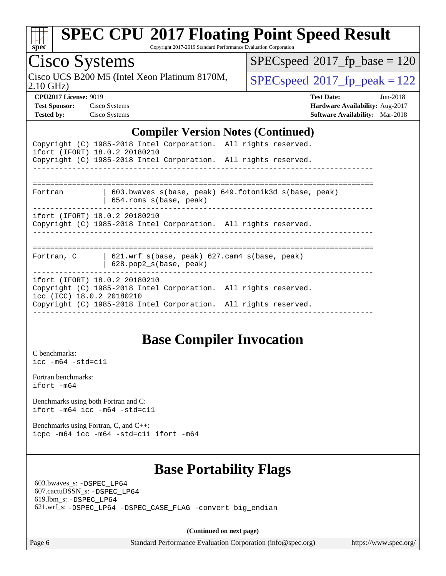

Copyright 2017-2019 Standard Performance Evaluation Corporation

## Cisco Systems

2.10 GHz) Cisco UCS B200 M5 (Intel Xeon Platinum 8170M,  $SPECspeed@2017_fp\_peak = 122$  $SPECspeed@2017_fp\_peak = 122$ 

 $SPEC speed$ <sup>®</sup> $2017$ \_fp\_base = 120

**[CPU2017 License:](http://www.spec.org/auto/cpu2017/Docs/result-fields.html#CPU2017License)** 9019 **[Test Date:](http://www.spec.org/auto/cpu2017/Docs/result-fields.html#TestDate)** Jun-2018 **[Test Sponsor:](http://www.spec.org/auto/cpu2017/Docs/result-fields.html#TestSponsor)** Cisco Systems **[Hardware Availability:](http://www.spec.org/auto/cpu2017/Docs/result-fields.html#HardwareAvailability)** Aug-2017 **[Tested by:](http://www.spec.org/auto/cpu2017/Docs/result-fields.html#Testedby)** Cisco Systems **[Software Availability:](http://www.spec.org/auto/cpu2017/Docs/result-fields.html#SoftwareAvailability)** Mar-2018

#### **[Compiler Version Notes \(Continued\)](http://www.spec.org/auto/cpu2017/Docs/result-fields.html#CompilerVersionNotes)**

| ifort (IFORT) 18.0.2 20180210                              | Copyright (C) 1985-2018 Intel Corporation. All rights reserved.<br>Copyright (C) 1985-2018 Intel Corporation. All rights reserved. |
|------------------------------------------------------------|------------------------------------------------------------------------------------------------------------------------------------|
| Fortran                                                    | 603.bwaves s(base, peak) 649.fotonik3d s(base, peak)<br>$654$ .roms $s(base, peak)$                                                |
| ifort (IFORT) 18.0.2 20180210                              | Copyright (C) 1985-2018 Intel Corporation. All rights reserved.                                                                    |
|                                                            | Fortran, C   621.wrf s(base, peak) 627.cam4 s(base, peak)<br>$628.$ pop $2 s(base, peak)$                                          |
| ifort (IFORT) 18.0.2 20180210<br>icc (ICC) 18.0.2 20180210 | Copyright (C) 1985-2018 Intel Corporation. All rights reserved.<br>Copyright (C) 1985-2018 Intel Corporation. All rights reserved. |

#### **[Base Compiler Invocation](http://www.spec.org/auto/cpu2017/Docs/result-fields.html#BaseCompilerInvocation)**

[C benchmarks](http://www.spec.org/auto/cpu2017/Docs/result-fields.html#Cbenchmarks): [icc -m64 -std=c11](http://www.spec.org/cpu2017/results/res2018q2/cpu2017-20180612-06936.flags.html#user_CCbase_intel_icc_64bit_c11_33ee0cdaae7deeeab2a9725423ba97205ce30f63b9926c2519791662299b76a0318f32ddfffdc46587804de3178b4f9328c46fa7c2b0cd779d7a61945c91cd35)

[Fortran benchmarks](http://www.spec.org/auto/cpu2017/Docs/result-fields.html#Fortranbenchmarks): [ifort -m64](http://www.spec.org/cpu2017/results/res2018q2/cpu2017-20180612-06936.flags.html#user_FCbase_intel_ifort_64bit_24f2bb282fbaeffd6157abe4f878425411749daecae9a33200eee2bee2fe76f3b89351d69a8130dd5949958ce389cf37ff59a95e7a40d588e8d3a57e0c3fd751)

[Benchmarks using both Fortran and C](http://www.spec.org/auto/cpu2017/Docs/result-fields.html#BenchmarksusingbothFortranandC): [ifort -m64](http://www.spec.org/cpu2017/results/res2018q2/cpu2017-20180612-06936.flags.html#user_CC_FCbase_intel_ifort_64bit_24f2bb282fbaeffd6157abe4f878425411749daecae9a33200eee2bee2fe76f3b89351d69a8130dd5949958ce389cf37ff59a95e7a40d588e8d3a57e0c3fd751) [icc -m64 -std=c11](http://www.spec.org/cpu2017/results/res2018q2/cpu2017-20180612-06936.flags.html#user_CC_FCbase_intel_icc_64bit_c11_33ee0cdaae7deeeab2a9725423ba97205ce30f63b9926c2519791662299b76a0318f32ddfffdc46587804de3178b4f9328c46fa7c2b0cd779d7a61945c91cd35)

[Benchmarks using Fortran, C, and C++:](http://www.spec.org/auto/cpu2017/Docs/result-fields.html#BenchmarksusingFortranCandCXX) [icpc -m64](http://www.spec.org/cpu2017/results/res2018q2/cpu2017-20180612-06936.flags.html#user_CC_CXX_FCbase_intel_icpc_64bit_4ecb2543ae3f1412ef961e0650ca070fec7b7afdcd6ed48761b84423119d1bf6bdf5cad15b44d48e7256388bc77273b966e5eb805aefd121eb22e9299b2ec9d9) [icc -m64 -std=c11](http://www.spec.org/cpu2017/results/res2018q2/cpu2017-20180612-06936.flags.html#user_CC_CXX_FCbase_intel_icc_64bit_c11_33ee0cdaae7deeeab2a9725423ba97205ce30f63b9926c2519791662299b76a0318f32ddfffdc46587804de3178b4f9328c46fa7c2b0cd779d7a61945c91cd35) [ifort -m64](http://www.spec.org/cpu2017/results/res2018q2/cpu2017-20180612-06936.flags.html#user_CC_CXX_FCbase_intel_ifort_64bit_24f2bb282fbaeffd6157abe4f878425411749daecae9a33200eee2bee2fe76f3b89351d69a8130dd5949958ce389cf37ff59a95e7a40d588e8d3a57e0c3fd751)

## **[Base Portability Flags](http://www.spec.org/auto/cpu2017/Docs/result-fields.html#BasePortabilityFlags)**

 603.bwaves\_s: [-DSPEC\\_LP64](http://www.spec.org/cpu2017/results/res2018q2/cpu2017-20180612-06936.flags.html#suite_basePORTABILITY603_bwaves_s_DSPEC_LP64) 607.cactuBSSN\_s: [-DSPEC\\_LP64](http://www.spec.org/cpu2017/results/res2018q2/cpu2017-20180612-06936.flags.html#suite_basePORTABILITY607_cactuBSSN_s_DSPEC_LP64) 619.lbm\_s: [-DSPEC\\_LP64](http://www.spec.org/cpu2017/results/res2018q2/cpu2017-20180612-06936.flags.html#suite_basePORTABILITY619_lbm_s_DSPEC_LP64) 621.wrf\_s: [-DSPEC\\_LP64](http://www.spec.org/cpu2017/results/res2018q2/cpu2017-20180612-06936.flags.html#suite_basePORTABILITY621_wrf_s_DSPEC_LP64) [-DSPEC\\_CASE\\_FLAG](http://www.spec.org/cpu2017/results/res2018q2/cpu2017-20180612-06936.flags.html#b621.wrf_s_baseCPORTABILITY_DSPEC_CASE_FLAG) [-convert big\\_endian](http://www.spec.org/cpu2017/results/res2018q2/cpu2017-20180612-06936.flags.html#user_baseFPORTABILITY621_wrf_s_convert_big_endian_c3194028bc08c63ac5d04de18c48ce6d347e4e562e8892b8bdbdc0214820426deb8554edfa529a3fb25a586e65a3d812c835984020483e7e73212c4d31a38223)

**(Continued on next page)**

Page 6 Standard Performance Evaluation Corporation [\(info@spec.org\)](mailto:info@spec.org) <https://www.spec.org/>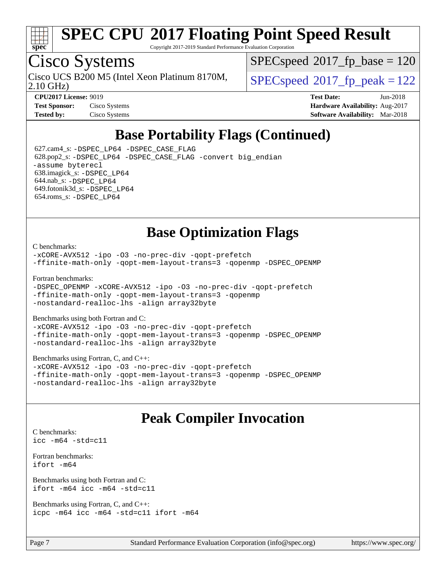

Copyright 2017-2019 Standard Performance Evaluation Corporation

## Cisco Systems

2.10 GHz) Cisco UCS B200 M5 (Intel Xeon Platinum 8170M,  $\vert$  [SPECspeed](http://www.spec.org/auto/cpu2017/Docs/result-fields.html#SPECspeed2017fppeak)®2017 fp\_peak = 122

[SPECspeed](http://www.spec.org/auto/cpu2017/Docs/result-fields.html#SPECspeed2017fpbase)<sup>®</sup>2017 fp base = 120

**[CPU2017 License:](http://www.spec.org/auto/cpu2017/Docs/result-fields.html#CPU2017License)** 9019 **[Test Date:](http://www.spec.org/auto/cpu2017/Docs/result-fields.html#TestDate)** Jun-2018 **[Test Sponsor:](http://www.spec.org/auto/cpu2017/Docs/result-fields.html#TestSponsor)** Cisco Systems **[Hardware Availability:](http://www.spec.org/auto/cpu2017/Docs/result-fields.html#HardwareAvailability)** Aug-2017 **[Tested by:](http://www.spec.org/auto/cpu2017/Docs/result-fields.html#Testedby)** Cisco Systems **[Software Availability:](http://www.spec.org/auto/cpu2017/Docs/result-fields.html#SoftwareAvailability)** Mar-2018

## **[Base Portability Flags \(Continued\)](http://www.spec.org/auto/cpu2017/Docs/result-fields.html#BasePortabilityFlags)**

 627.cam4\_s: [-DSPEC\\_LP64](http://www.spec.org/cpu2017/results/res2018q2/cpu2017-20180612-06936.flags.html#suite_basePORTABILITY627_cam4_s_DSPEC_LP64) [-DSPEC\\_CASE\\_FLAG](http://www.spec.org/cpu2017/results/res2018q2/cpu2017-20180612-06936.flags.html#b627.cam4_s_baseCPORTABILITY_DSPEC_CASE_FLAG) 628.pop2\_s: [-DSPEC\\_LP64](http://www.spec.org/cpu2017/results/res2018q2/cpu2017-20180612-06936.flags.html#suite_basePORTABILITY628_pop2_s_DSPEC_LP64) [-DSPEC\\_CASE\\_FLAG](http://www.spec.org/cpu2017/results/res2018q2/cpu2017-20180612-06936.flags.html#b628.pop2_s_baseCPORTABILITY_DSPEC_CASE_FLAG) [-convert big\\_endian](http://www.spec.org/cpu2017/results/res2018q2/cpu2017-20180612-06936.flags.html#user_baseFPORTABILITY628_pop2_s_convert_big_endian_c3194028bc08c63ac5d04de18c48ce6d347e4e562e8892b8bdbdc0214820426deb8554edfa529a3fb25a586e65a3d812c835984020483e7e73212c4d31a38223) [-assume byterecl](http://www.spec.org/cpu2017/results/res2018q2/cpu2017-20180612-06936.flags.html#user_baseFPORTABILITY628_pop2_s_assume_byterecl_7e47d18b9513cf18525430bbf0f2177aa9bf368bc7a059c09b2c06a34b53bd3447c950d3f8d6c70e3faf3a05c8557d66a5798b567902e8849adc142926523472) 638.imagick\_s: [-DSPEC\\_LP64](http://www.spec.org/cpu2017/results/res2018q2/cpu2017-20180612-06936.flags.html#suite_basePORTABILITY638_imagick_s_DSPEC_LP64) 644.nab\_s: [-DSPEC\\_LP64](http://www.spec.org/cpu2017/results/res2018q2/cpu2017-20180612-06936.flags.html#suite_basePORTABILITY644_nab_s_DSPEC_LP64) 649.fotonik3d\_s: [-DSPEC\\_LP64](http://www.spec.org/cpu2017/results/res2018q2/cpu2017-20180612-06936.flags.html#suite_basePORTABILITY649_fotonik3d_s_DSPEC_LP64) 654.roms\_s: [-DSPEC\\_LP64](http://www.spec.org/cpu2017/results/res2018q2/cpu2017-20180612-06936.flags.html#suite_basePORTABILITY654_roms_s_DSPEC_LP64)

## **[Base Optimization Flags](http://www.spec.org/auto/cpu2017/Docs/result-fields.html#BaseOptimizationFlags)**

[C benchmarks](http://www.spec.org/auto/cpu2017/Docs/result-fields.html#Cbenchmarks):

[-xCORE-AVX512](http://www.spec.org/cpu2017/results/res2018q2/cpu2017-20180612-06936.flags.html#user_CCbase_f-xCORE-AVX512) [-ipo](http://www.spec.org/cpu2017/results/res2018q2/cpu2017-20180612-06936.flags.html#user_CCbase_f-ipo) [-O3](http://www.spec.org/cpu2017/results/res2018q2/cpu2017-20180612-06936.flags.html#user_CCbase_f-O3) [-no-prec-div](http://www.spec.org/cpu2017/results/res2018q2/cpu2017-20180612-06936.flags.html#user_CCbase_f-no-prec-div) [-qopt-prefetch](http://www.spec.org/cpu2017/results/res2018q2/cpu2017-20180612-06936.flags.html#user_CCbase_f-qopt-prefetch) [-ffinite-math-only](http://www.spec.org/cpu2017/results/res2018q2/cpu2017-20180612-06936.flags.html#user_CCbase_f_finite_math_only_cb91587bd2077682c4b38af759c288ed7c732db004271a9512da14a4f8007909a5f1427ecbf1a0fb78ff2a814402c6114ac565ca162485bbcae155b5e4258871) [-qopt-mem-layout-trans=3](http://www.spec.org/cpu2017/results/res2018q2/cpu2017-20180612-06936.flags.html#user_CCbase_f-qopt-mem-layout-trans_de80db37974c74b1f0e20d883f0b675c88c3b01e9d123adea9b28688d64333345fb62bc4a798493513fdb68f60282f9a726aa07f478b2f7113531aecce732043) [-qopenmp](http://www.spec.org/cpu2017/results/res2018q2/cpu2017-20180612-06936.flags.html#user_CCbase_qopenmp_16be0c44f24f464004c6784a7acb94aca937f053568ce72f94b139a11c7c168634a55f6653758ddd83bcf7b8463e8028bb0b48b77bcddc6b78d5d95bb1df2967) [-DSPEC\\_OPENMP](http://www.spec.org/cpu2017/results/res2018q2/cpu2017-20180612-06936.flags.html#suite_CCbase_DSPEC_OPENMP)

[Fortran benchmarks](http://www.spec.org/auto/cpu2017/Docs/result-fields.html#Fortranbenchmarks):

[-DSPEC\\_OPENMP](http://www.spec.org/cpu2017/results/res2018q2/cpu2017-20180612-06936.flags.html#suite_FCbase_DSPEC_OPENMP) [-xCORE-AVX512](http://www.spec.org/cpu2017/results/res2018q2/cpu2017-20180612-06936.flags.html#user_FCbase_f-xCORE-AVX512) [-ipo](http://www.spec.org/cpu2017/results/res2018q2/cpu2017-20180612-06936.flags.html#user_FCbase_f-ipo) [-O3](http://www.spec.org/cpu2017/results/res2018q2/cpu2017-20180612-06936.flags.html#user_FCbase_f-O3) [-no-prec-div](http://www.spec.org/cpu2017/results/res2018q2/cpu2017-20180612-06936.flags.html#user_FCbase_f-no-prec-div) [-qopt-prefetch](http://www.spec.org/cpu2017/results/res2018q2/cpu2017-20180612-06936.flags.html#user_FCbase_f-qopt-prefetch) [-ffinite-math-only](http://www.spec.org/cpu2017/results/res2018q2/cpu2017-20180612-06936.flags.html#user_FCbase_f_finite_math_only_cb91587bd2077682c4b38af759c288ed7c732db004271a9512da14a4f8007909a5f1427ecbf1a0fb78ff2a814402c6114ac565ca162485bbcae155b5e4258871) [-qopt-mem-layout-trans=3](http://www.spec.org/cpu2017/results/res2018q2/cpu2017-20180612-06936.flags.html#user_FCbase_f-qopt-mem-layout-trans_de80db37974c74b1f0e20d883f0b675c88c3b01e9d123adea9b28688d64333345fb62bc4a798493513fdb68f60282f9a726aa07f478b2f7113531aecce732043) [-qopenmp](http://www.spec.org/cpu2017/results/res2018q2/cpu2017-20180612-06936.flags.html#user_FCbase_qopenmp_16be0c44f24f464004c6784a7acb94aca937f053568ce72f94b139a11c7c168634a55f6653758ddd83bcf7b8463e8028bb0b48b77bcddc6b78d5d95bb1df2967) [-nostandard-realloc-lhs](http://www.spec.org/cpu2017/results/res2018q2/cpu2017-20180612-06936.flags.html#user_FCbase_f_2003_std_realloc_82b4557e90729c0f113870c07e44d33d6f5a304b4f63d4c15d2d0f1fab99f5daaed73bdb9275d9ae411527f28b936061aa8b9c8f2d63842963b95c9dd6426b8a) [-align array32byte](http://www.spec.org/cpu2017/results/res2018q2/cpu2017-20180612-06936.flags.html#user_FCbase_align_array32byte_b982fe038af199962ba9a80c053b8342c548c85b40b8e86eb3cc33dee0d7986a4af373ac2d51c3f7cf710a18d62fdce2948f201cd044323541f22fc0fffc51b6)

[Benchmarks using both Fortran and C](http://www.spec.org/auto/cpu2017/Docs/result-fields.html#BenchmarksusingbothFortranandC):

[-xCORE-AVX512](http://www.spec.org/cpu2017/results/res2018q2/cpu2017-20180612-06936.flags.html#user_CC_FCbase_f-xCORE-AVX512) [-ipo](http://www.spec.org/cpu2017/results/res2018q2/cpu2017-20180612-06936.flags.html#user_CC_FCbase_f-ipo) [-O3](http://www.spec.org/cpu2017/results/res2018q2/cpu2017-20180612-06936.flags.html#user_CC_FCbase_f-O3) [-no-prec-div](http://www.spec.org/cpu2017/results/res2018q2/cpu2017-20180612-06936.flags.html#user_CC_FCbase_f-no-prec-div) [-qopt-prefetch](http://www.spec.org/cpu2017/results/res2018q2/cpu2017-20180612-06936.flags.html#user_CC_FCbase_f-qopt-prefetch) [-ffinite-math-only](http://www.spec.org/cpu2017/results/res2018q2/cpu2017-20180612-06936.flags.html#user_CC_FCbase_f_finite_math_only_cb91587bd2077682c4b38af759c288ed7c732db004271a9512da14a4f8007909a5f1427ecbf1a0fb78ff2a814402c6114ac565ca162485bbcae155b5e4258871) [-qopt-mem-layout-trans=3](http://www.spec.org/cpu2017/results/res2018q2/cpu2017-20180612-06936.flags.html#user_CC_FCbase_f-qopt-mem-layout-trans_de80db37974c74b1f0e20d883f0b675c88c3b01e9d123adea9b28688d64333345fb62bc4a798493513fdb68f60282f9a726aa07f478b2f7113531aecce732043) [-qopenmp](http://www.spec.org/cpu2017/results/res2018q2/cpu2017-20180612-06936.flags.html#user_CC_FCbase_qopenmp_16be0c44f24f464004c6784a7acb94aca937f053568ce72f94b139a11c7c168634a55f6653758ddd83bcf7b8463e8028bb0b48b77bcddc6b78d5d95bb1df2967) [-DSPEC\\_OPENMP](http://www.spec.org/cpu2017/results/res2018q2/cpu2017-20180612-06936.flags.html#suite_CC_FCbase_DSPEC_OPENMP) [-nostandard-realloc-lhs](http://www.spec.org/cpu2017/results/res2018q2/cpu2017-20180612-06936.flags.html#user_CC_FCbase_f_2003_std_realloc_82b4557e90729c0f113870c07e44d33d6f5a304b4f63d4c15d2d0f1fab99f5daaed73bdb9275d9ae411527f28b936061aa8b9c8f2d63842963b95c9dd6426b8a) [-align array32byte](http://www.spec.org/cpu2017/results/res2018q2/cpu2017-20180612-06936.flags.html#user_CC_FCbase_align_array32byte_b982fe038af199962ba9a80c053b8342c548c85b40b8e86eb3cc33dee0d7986a4af373ac2d51c3f7cf710a18d62fdce2948f201cd044323541f22fc0fffc51b6)

[Benchmarks using Fortran, C, and C++:](http://www.spec.org/auto/cpu2017/Docs/result-fields.html#BenchmarksusingFortranCandCXX)

[-xCORE-AVX512](http://www.spec.org/cpu2017/results/res2018q2/cpu2017-20180612-06936.flags.html#user_CC_CXX_FCbase_f-xCORE-AVX512) [-ipo](http://www.spec.org/cpu2017/results/res2018q2/cpu2017-20180612-06936.flags.html#user_CC_CXX_FCbase_f-ipo) [-O3](http://www.spec.org/cpu2017/results/res2018q2/cpu2017-20180612-06936.flags.html#user_CC_CXX_FCbase_f-O3) [-no-prec-div](http://www.spec.org/cpu2017/results/res2018q2/cpu2017-20180612-06936.flags.html#user_CC_CXX_FCbase_f-no-prec-div) [-qopt-prefetch](http://www.spec.org/cpu2017/results/res2018q2/cpu2017-20180612-06936.flags.html#user_CC_CXX_FCbase_f-qopt-prefetch) [-ffinite-math-only](http://www.spec.org/cpu2017/results/res2018q2/cpu2017-20180612-06936.flags.html#user_CC_CXX_FCbase_f_finite_math_only_cb91587bd2077682c4b38af759c288ed7c732db004271a9512da14a4f8007909a5f1427ecbf1a0fb78ff2a814402c6114ac565ca162485bbcae155b5e4258871) [-qopt-mem-layout-trans=3](http://www.spec.org/cpu2017/results/res2018q2/cpu2017-20180612-06936.flags.html#user_CC_CXX_FCbase_f-qopt-mem-layout-trans_de80db37974c74b1f0e20d883f0b675c88c3b01e9d123adea9b28688d64333345fb62bc4a798493513fdb68f60282f9a726aa07f478b2f7113531aecce732043) [-qopenmp](http://www.spec.org/cpu2017/results/res2018q2/cpu2017-20180612-06936.flags.html#user_CC_CXX_FCbase_qopenmp_16be0c44f24f464004c6784a7acb94aca937f053568ce72f94b139a11c7c168634a55f6653758ddd83bcf7b8463e8028bb0b48b77bcddc6b78d5d95bb1df2967) [-DSPEC\\_OPENMP](http://www.spec.org/cpu2017/results/res2018q2/cpu2017-20180612-06936.flags.html#suite_CC_CXX_FCbase_DSPEC_OPENMP) [-nostandard-realloc-lhs](http://www.spec.org/cpu2017/results/res2018q2/cpu2017-20180612-06936.flags.html#user_CC_CXX_FCbase_f_2003_std_realloc_82b4557e90729c0f113870c07e44d33d6f5a304b4f63d4c15d2d0f1fab99f5daaed73bdb9275d9ae411527f28b936061aa8b9c8f2d63842963b95c9dd6426b8a) [-align array32byte](http://www.spec.org/cpu2017/results/res2018q2/cpu2017-20180612-06936.flags.html#user_CC_CXX_FCbase_align_array32byte_b982fe038af199962ba9a80c053b8342c548c85b40b8e86eb3cc33dee0d7986a4af373ac2d51c3f7cf710a18d62fdce2948f201cd044323541f22fc0fffc51b6)

### **[Peak Compiler Invocation](http://www.spec.org/auto/cpu2017/Docs/result-fields.html#PeakCompilerInvocation)**

[C benchmarks](http://www.spec.org/auto/cpu2017/Docs/result-fields.html#Cbenchmarks): [icc -m64 -std=c11](http://www.spec.org/cpu2017/results/res2018q2/cpu2017-20180612-06936.flags.html#user_CCpeak_intel_icc_64bit_c11_33ee0cdaae7deeeab2a9725423ba97205ce30f63b9926c2519791662299b76a0318f32ddfffdc46587804de3178b4f9328c46fa7c2b0cd779d7a61945c91cd35)

[Fortran benchmarks](http://www.spec.org/auto/cpu2017/Docs/result-fields.html#Fortranbenchmarks): [ifort -m64](http://www.spec.org/cpu2017/results/res2018q2/cpu2017-20180612-06936.flags.html#user_FCpeak_intel_ifort_64bit_24f2bb282fbaeffd6157abe4f878425411749daecae9a33200eee2bee2fe76f3b89351d69a8130dd5949958ce389cf37ff59a95e7a40d588e8d3a57e0c3fd751)

[Benchmarks using both Fortran and C](http://www.spec.org/auto/cpu2017/Docs/result-fields.html#BenchmarksusingbothFortranandC): [ifort -m64](http://www.spec.org/cpu2017/results/res2018q2/cpu2017-20180612-06936.flags.html#user_CC_FCpeak_intel_ifort_64bit_24f2bb282fbaeffd6157abe4f878425411749daecae9a33200eee2bee2fe76f3b89351d69a8130dd5949958ce389cf37ff59a95e7a40d588e8d3a57e0c3fd751) [icc -m64 -std=c11](http://www.spec.org/cpu2017/results/res2018q2/cpu2017-20180612-06936.flags.html#user_CC_FCpeak_intel_icc_64bit_c11_33ee0cdaae7deeeab2a9725423ba97205ce30f63b9926c2519791662299b76a0318f32ddfffdc46587804de3178b4f9328c46fa7c2b0cd779d7a61945c91cd35)

[Benchmarks using Fortran, C, and C++:](http://www.spec.org/auto/cpu2017/Docs/result-fields.html#BenchmarksusingFortranCandCXX) [icpc -m64](http://www.spec.org/cpu2017/results/res2018q2/cpu2017-20180612-06936.flags.html#user_CC_CXX_FCpeak_intel_icpc_64bit_4ecb2543ae3f1412ef961e0650ca070fec7b7afdcd6ed48761b84423119d1bf6bdf5cad15b44d48e7256388bc77273b966e5eb805aefd121eb22e9299b2ec9d9) [icc -m64 -std=c11](http://www.spec.org/cpu2017/results/res2018q2/cpu2017-20180612-06936.flags.html#user_CC_CXX_FCpeak_intel_icc_64bit_c11_33ee0cdaae7deeeab2a9725423ba97205ce30f63b9926c2519791662299b76a0318f32ddfffdc46587804de3178b4f9328c46fa7c2b0cd779d7a61945c91cd35) [ifort -m64](http://www.spec.org/cpu2017/results/res2018q2/cpu2017-20180612-06936.flags.html#user_CC_CXX_FCpeak_intel_ifort_64bit_24f2bb282fbaeffd6157abe4f878425411749daecae9a33200eee2bee2fe76f3b89351d69a8130dd5949958ce389cf37ff59a95e7a40d588e8d3a57e0c3fd751)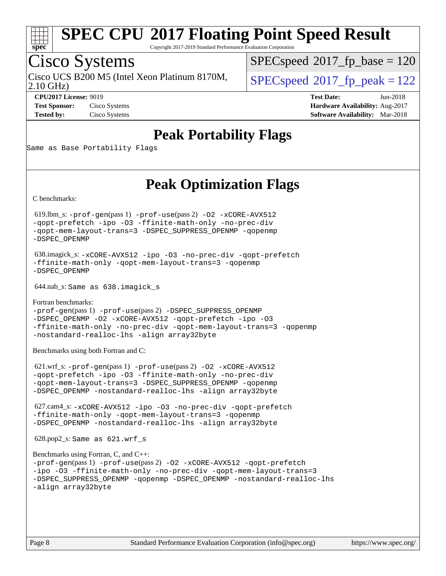

Copyright 2017-2019 Standard Performance Evaluation Corporation

## Cisco Systems

2.10 GHz) Cisco UCS B200 M5 (Intel Xeon Platinum 8170M,  $\vert$  [SPECspeed](http://www.spec.org/auto/cpu2017/Docs/result-fields.html#SPECspeed2017fppeak)®2017 fp\_peak = 122

[SPECspeed](http://www.spec.org/auto/cpu2017/Docs/result-fields.html#SPECspeed2017fpbase)<sup>®</sup>2017 fp base = 120

**[CPU2017 License:](http://www.spec.org/auto/cpu2017/Docs/result-fields.html#CPU2017License)** 9019 **[Test Date:](http://www.spec.org/auto/cpu2017/Docs/result-fields.html#TestDate)** Jun-2018 **[Test Sponsor:](http://www.spec.org/auto/cpu2017/Docs/result-fields.html#TestSponsor)** Cisco Systems **[Hardware Availability:](http://www.spec.org/auto/cpu2017/Docs/result-fields.html#HardwareAvailability)** Aug-2017 **[Tested by:](http://www.spec.org/auto/cpu2017/Docs/result-fields.html#Testedby)** Cisco Systems **[Software Availability:](http://www.spec.org/auto/cpu2017/Docs/result-fields.html#SoftwareAvailability)** Mar-2018

## **[Peak Portability Flags](http://www.spec.org/auto/cpu2017/Docs/result-fields.html#PeakPortabilityFlags)**

Same as Base Portability Flags

## **[Peak Optimization Flags](http://www.spec.org/auto/cpu2017/Docs/result-fields.html#PeakOptimizationFlags)**

[C benchmarks](http://www.spec.org/auto/cpu2017/Docs/result-fields.html#Cbenchmarks):

 619.lbm\_s: [-prof-gen](http://www.spec.org/cpu2017/results/res2018q2/cpu2017-20180612-06936.flags.html#user_peakPASS1_CFLAGSPASS1_LDFLAGS619_lbm_s_prof_gen_5aa4926d6013ddb2a31985c654b3eb18169fc0c6952a63635c234f711e6e63dd76e94ad52365559451ec499a2cdb89e4dc58ba4c67ef54ca681ffbe1461d6b36)(pass 1) [-prof-use](http://www.spec.org/cpu2017/results/res2018q2/cpu2017-20180612-06936.flags.html#user_peakPASS2_CFLAGSPASS2_LDFLAGS619_lbm_s_prof_use_1a21ceae95f36a2b53c25747139a6c16ca95bd9def2a207b4f0849963b97e94f5260e30a0c64f4bb623698870e679ca08317ef8150905d41bd88c6f78df73f19)(pass 2) [-O2](http://www.spec.org/cpu2017/results/res2018q2/cpu2017-20180612-06936.flags.html#user_peakPASS1_COPTIMIZE619_lbm_s_f-O2) [-xCORE-AVX512](http://www.spec.org/cpu2017/results/res2018q2/cpu2017-20180612-06936.flags.html#user_peakPASS2_COPTIMIZE619_lbm_s_f-xCORE-AVX512) [-qopt-prefetch](http://www.spec.org/cpu2017/results/res2018q2/cpu2017-20180612-06936.flags.html#user_peakPASS1_COPTIMIZEPASS2_COPTIMIZE619_lbm_s_f-qopt-prefetch) [-ipo](http://www.spec.org/cpu2017/results/res2018q2/cpu2017-20180612-06936.flags.html#user_peakPASS2_COPTIMIZE619_lbm_s_f-ipo) [-O3](http://www.spec.org/cpu2017/results/res2018q2/cpu2017-20180612-06936.flags.html#user_peakPASS2_COPTIMIZE619_lbm_s_f-O3) [-ffinite-math-only](http://www.spec.org/cpu2017/results/res2018q2/cpu2017-20180612-06936.flags.html#user_peakPASS1_COPTIMIZEPASS2_COPTIMIZE619_lbm_s_f_finite_math_only_cb91587bd2077682c4b38af759c288ed7c732db004271a9512da14a4f8007909a5f1427ecbf1a0fb78ff2a814402c6114ac565ca162485bbcae155b5e4258871) [-no-prec-div](http://www.spec.org/cpu2017/results/res2018q2/cpu2017-20180612-06936.flags.html#user_peakPASS2_COPTIMIZE619_lbm_s_f-no-prec-div) [-qopt-mem-layout-trans=3](http://www.spec.org/cpu2017/results/res2018q2/cpu2017-20180612-06936.flags.html#user_peakPASS1_COPTIMIZEPASS2_COPTIMIZE619_lbm_s_f-qopt-mem-layout-trans_de80db37974c74b1f0e20d883f0b675c88c3b01e9d123adea9b28688d64333345fb62bc4a798493513fdb68f60282f9a726aa07f478b2f7113531aecce732043) [-DSPEC\\_SUPPRESS\\_OPENMP](http://www.spec.org/cpu2017/results/res2018q2/cpu2017-20180612-06936.flags.html#suite_peakPASS1_COPTIMIZE619_lbm_s_DSPEC_SUPPRESS_OPENMP) [-qopenmp](http://www.spec.org/cpu2017/results/res2018q2/cpu2017-20180612-06936.flags.html#user_peakPASS2_COPTIMIZE619_lbm_s_qopenmp_16be0c44f24f464004c6784a7acb94aca937f053568ce72f94b139a11c7c168634a55f6653758ddd83bcf7b8463e8028bb0b48b77bcddc6b78d5d95bb1df2967) [-DSPEC\\_OPENMP](http://www.spec.org/cpu2017/results/res2018q2/cpu2017-20180612-06936.flags.html#suite_peakPASS2_COPTIMIZE619_lbm_s_DSPEC_OPENMP)

 638.imagick\_s: [-xCORE-AVX512](http://www.spec.org/cpu2017/results/res2018q2/cpu2017-20180612-06936.flags.html#user_peakCOPTIMIZE638_imagick_s_f-xCORE-AVX512) [-ipo](http://www.spec.org/cpu2017/results/res2018q2/cpu2017-20180612-06936.flags.html#user_peakCOPTIMIZE638_imagick_s_f-ipo) [-O3](http://www.spec.org/cpu2017/results/res2018q2/cpu2017-20180612-06936.flags.html#user_peakCOPTIMIZE638_imagick_s_f-O3) [-no-prec-div](http://www.spec.org/cpu2017/results/res2018q2/cpu2017-20180612-06936.flags.html#user_peakCOPTIMIZE638_imagick_s_f-no-prec-div) [-qopt-prefetch](http://www.spec.org/cpu2017/results/res2018q2/cpu2017-20180612-06936.flags.html#user_peakCOPTIMIZE638_imagick_s_f-qopt-prefetch) [-ffinite-math-only](http://www.spec.org/cpu2017/results/res2018q2/cpu2017-20180612-06936.flags.html#user_peakCOPTIMIZE638_imagick_s_f_finite_math_only_cb91587bd2077682c4b38af759c288ed7c732db004271a9512da14a4f8007909a5f1427ecbf1a0fb78ff2a814402c6114ac565ca162485bbcae155b5e4258871) [-qopt-mem-layout-trans=3](http://www.spec.org/cpu2017/results/res2018q2/cpu2017-20180612-06936.flags.html#user_peakCOPTIMIZE638_imagick_s_f-qopt-mem-layout-trans_de80db37974c74b1f0e20d883f0b675c88c3b01e9d123adea9b28688d64333345fb62bc4a798493513fdb68f60282f9a726aa07f478b2f7113531aecce732043) [-qopenmp](http://www.spec.org/cpu2017/results/res2018q2/cpu2017-20180612-06936.flags.html#user_peakCOPTIMIZE638_imagick_s_qopenmp_16be0c44f24f464004c6784a7acb94aca937f053568ce72f94b139a11c7c168634a55f6653758ddd83bcf7b8463e8028bb0b48b77bcddc6b78d5d95bb1df2967) [-DSPEC\\_OPENMP](http://www.spec.org/cpu2017/results/res2018q2/cpu2017-20180612-06936.flags.html#suite_peakCOPTIMIZE638_imagick_s_DSPEC_OPENMP)

644.nab\_s: Same as 638.imagick\_s

[Fortran benchmarks](http://www.spec.org/auto/cpu2017/Docs/result-fields.html#Fortranbenchmarks): [-prof-gen](http://www.spec.org/cpu2017/results/res2018q2/cpu2017-20180612-06936.flags.html#user_FCpeak_prof_gen_5aa4926d6013ddb2a31985c654b3eb18169fc0c6952a63635c234f711e6e63dd76e94ad52365559451ec499a2cdb89e4dc58ba4c67ef54ca681ffbe1461d6b36)(pass 1) [-prof-use](http://www.spec.org/cpu2017/results/res2018q2/cpu2017-20180612-06936.flags.html#user_FCpeak_prof_use_1a21ceae95f36a2b53c25747139a6c16ca95bd9def2a207b4f0849963b97e94f5260e30a0c64f4bb623698870e679ca08317ef8150905d41bd88c6f78df73f19)(pass 2) [-DSPEC\\_SUPPRESS\\_OPENMP](http://www.spec.org/cpu2017/results/res2018q2/cpu2017-20180612-06936.flags.html#suite_FCpeak_DSPEC_SUPPRESS_OPENMP) [-DSPEC\\_OPENMP](http://www.spec.org/cpu2017/results/res2018q2/cpu2017-20180612-06936.flags.html#suite_FCpeak_DSPEC_OPENMP) [-O2](http://www.spec.org/cpu2017/results/res2018q2/cpu2017-20180612-06936.flags.html#user_FCpeak_f-O2) [-xCORE-AVX512](http://www.spec.org/cpu2017/results/res2018q2/cpu2017-20180612-06936.flags.html#user_FCpeak_f-xCORE-AVX512) [-qopt-prefetch](http://www.spec.org/cpu2017/results/res2018q2/cpu2017-20180612-06936.flags.html#user_FCpeak_f-qopt-prefetch) [-ipo](http://www.spec.org/cpu2017/results/res2018q2/cpu2017-20180612-06936.flags.html#user_FCpeak_f-ipo) [-O3](http://www.spec.org/cpu2017/results/res2018q2/cpu2017-20180612-06936.flags.html#user_FCpeak_f-O3) [-ffinite-math-only](http://www.spec.org/cpu2017/results/res2018q2/cpu2017-20180612-06936.flags.html#user_FCpeak_f_finite_math_only_cb91587bd2077682c4b38af759c288ed7c732db004271a9512da14a4f8007909a5f1427ecbf1a0fb78ff2a814402c6114ac565ca162485bbcae155b5e4258871) [-no-prec-div](http://www.spec.org/cpu2017/results/res2018q2/cpu2017-20180612-06936.flags.html#user_FCpeak_f-no-prec-div) [-qopt-mem-layout-trans=3](http://www.spec.org/cpu2017/results/res2018q2/cpu2017-20180612-06936.flags.html#user_FCpeak_f-qopt-mem-layout-trans_de80db37974c74b1f0e20d883f0b675c88c3b01e9d123adea9b28688d64333345fb62bc4a798493513fdb68f60282f9a726aa07f478b2f7113531aecce732043) [-qopenmp](http://www.spec.org/cpu2017/results/res2018q2/cpu2017-20180612-06936.flags.html#user_FCpeak_qopenmp_16be0c44f24f464004c6784a7acb94aca937f053568ce72f94b139a11c7c168634a55f6653758ddd83bcf7b8463e8028bb0b48b77bcddc6b78d5d95bb1df2967) [-nostandard-realloc-lhs](http://www.spec.org/cpu2017/results/res2018q2/cpu2017-20180612-06936.flags.html#user_FCpeak_f_2003_std_realloc_82b4557e90729c0f113870c07e44d33d6f5a304b4f63d4c15d2d0f1fab99f5daaed73bdb9275d9ae411527f28b936061aa8b9c8f2d63842963b95c9dd6426b8a) [-align array32byte](http://www.spec.org/cpu2017/results/res2018q2/cpu2017-20180612-06936.flags.html#user_FCpeak_align_array32byte_b982fe038af199962ba9a80c053b8342c548c85b40b8e86eb3cc33dee0d7986a4af373ac2d51c3f7cf710a18d62fdce2948f201cd044323541f22fc0fffc51b6)

[Benchmarks using both Fortran and C](http://www.spec.org/auto/cpu2017/Docs/result-fields.html#BenchmarksusingbothFortranandC):

 621.wrf\_s: [-prof-gen](http://www.spec.org/cpu2017/results/res2018q2/cpu2017-20180612-06936.flags.html#user_peakPASS1_CFLAGSPASS1_FFLAGSPASS1_LDFLAGS621_wrf_s_prof_gen_5aa4926d6013ddb2a31985c654b3eb18169fc0c6952a63635c234f711e6e63dd76e94ad52365559451ec499a2cdb89e4dc58ba4c67ef54ca681ffbe1461d6b36)(pass 1) [-prof-use](http://www.spec.org/cpu2017/results/res2018q2/cpu2017-20180612-06936.flags.html#user_peakPASS2_CFLAGSPASS2_FFLAGSPASS2_LDFLAGS621_wrf_s_prof_use_1a21ceae95f36a2b53c25747139a6c16ca95bd9def2a207b4f0849963b97e94f5260e30a0c64f4bb623698870e679ca08317ef8150905d41bd88c6f78df73f19)(pass 2) [-O2](http://www.spec.org/cpu2017/results/res2018q2/cpu2017-20180612-06936.flags.html#user_peakPASS1_COPTIMIZEPASS1_FOPTIMIZE621_wrf_s_f-O2) [-xCORE-AVX512](http://www.spec.org/cpu2017/results/res2018q2/cpu2017-20180612-06936.flags.html#user_peakPASS2_COPTIMIZEPASS2_FOPTIMIZE621_wrf_s_f-xCORE-AVX512) [-qopt-prefetch](http://www.spec.org/cpu2017/results/res2018q2/cpu2017-20180612-06936.flags.html#user_peakPASS1_COPTIMIZEPASS1_FOPTIMIZEPASS2_COPTIMIZEPASS2_FOPTIMIZE621_wrf_s_f-qopt-prefetch) [-ipo](http://www.spec.org/cpu2017/results/res2018q2/cpu2017-20180612-06936.flags.html#user_peakPASS2_COPTIMIZEPASS2_FOPTIMIZE621_wrf_s_f-ipo) [-O3](http://www.spec.org/cpu2017/results/res2018q2/cpu2017-20180612-06936.flags.html#user_peakPASS2_COPTIMIZEPASS2_FOPTIMIZE621_wrf_s_f-O3) [-ffinite-math-only](http://www.spec.org/cpu2017/results/res2018q2/cpu2017-20180612-06936.flags.html#user_peakPASS1_COPTIMIZEPASS1_FOPTIMIZEPASS2_COPTIMIZEPASS2_FOPTIMIZE621_wrf_s_f_finite_math_only_cb91587bd2077682c4b38af759c288ed7c732db004271a9512da14a4f8007909a5f1427ecbf1a0fb78ff2a814402c6114ac565ca162485bbcae155b5e4258871) [-no-prec-div](http://www.spec.org/cpu2017/results/res2018q2/cpu2017-20180612-06936.flags.html#user_peakPASS2_COPTIMIZEPASS2_FOPTIMIZE621_wrf_s_f-no-prec-div) [-qopt-mem-layout-trans=3](http://www.spec.org/cpu2017/results/res2018q2/cpu2017-20180612-06936.flags.html#user_peakPASS1_COPTIMIZEPASS1_FOPTIMIZEPASS2_COPTIMIZEPASS2_FOPTIMIZE621_wrf_s_f-qopt-mem-layout-trans_de80db37974c74b1f0e20d883f0b675c88c3b01e9d123adea9b28688d64333345fb62bc4a798493513fdb68f60282f9a726aa07f478b2f7113531aecce732043) [-DSPEC\\_SUPPRESS\\_OPENMP](http://www.spec.org/cpu2017/results/res2018q2/cpu2017-20180612-06936.flags.html#suite_peakPASS1_COPTIMIZEPASS1_FOPTIMIZE621_wrf_s_DSPEC_SUPPRESS_OPENMP) [-qopenmp](http://www.spec.org/cpu2017/results/res2018q2/cpu2017-20180612-06936.flags.html#user_peakPASS2_COPTIMIZEPASS2_FOPTIMIZE621_wrf_s_qopenmp_16be0c44f24f464004c6784a7acb94aca937f053568ce72f94b139a11c7c168634a55f6653758ddd83bcf7b8463e8028bb0b48b77bcddc6b78d5d95bb1df2967) [-DSPEC\\_OPENMP](http://www.spec.org/cpu2017/results/res2018q2/cpu2017-20180612-06936.flags.html#suite_peakPASS2_COPTIMIZEPASS2_FOPTIMIZE621_wrf_s_DSPEC_OPENMP) [-nostandard-realloc-lhs](http://www.spec.org/cpu2017/results/res2018q2/cpu2017-20180612-06936.flags.html#user_peakEXTRA_FOPTIMIZE621_wrf_s_f_2003_std_realloc_82b4557e90729c0f113870c07e44d33d6f5a304b4f63d4c15d2d0f1fab99f5daaed73bdb9275d9ae411527f28b936061aa8b9c8f2d63842963b95c9dd6426b8a) [-align array32byte](http://www.spec.org/cpu2017/results/res2018q2/cpu2017-20180612-06936.flags.html#user_peakEXTRA_FOPTIMIZE621_wrf_s_align_array32byte_b982fe038af199962ba9a80c053b8342c548c85b40b8e86eb3cc33dee0d7986a4af373ac2d51c3f7cf710a18d62fdce2948f201cd044323541f22fc0fffc51b6)

 627.cam4\_s: [-xCORE-AVX512](http://www.spec.org/cpu2017/results/res2018q2/cpu2017-20180612-06936.flags.html#user_peakCOPTIMIZEFOPTIMIZE627_cam4_s_f-xCORE-AVX512) [-ipo](http://www.spec.org/cpu2017/results/res2018q2/cpu2017-20180612-06936.flags.html#user_peakCOPTIMIZEFOPTIMIZE627_cam4_s_f-ipo) [-O3](http://www.spec.org/cpu2017/results/res2018q2/cpu2017-20180612-06936.flags.html#user_peakCOPTIMIZEFOPTIMIZE627_cam4_s_f-O3) [-no-prec-div](http://www.spec.org/cpu2017/results/res2018q2/cpu2017-20180612-06936.flags.html#user_peakCOPTIMIZEFOPTIMIZE627_cam4_s_f-no-prec-div) [-qopt-prefetch](http://www.spec.org/cpu2017/results/res2018q2/cpu2017-20180612-06936.flags.html#user_peakCOPTIMIZEFOPTIMIZE627_cam4_s_f-qopt-prefetch) [-ffinite-math-only](http://www.spec.org/cpu2017/results/res2018q2/cpu2017-20180612-06936.flags.html#user_peakCOPTIMIZEFOPTIMIZE627_cam4_s_f_finite_math_only_cb91587bd2077682c4b38af759c288ed7c732db004271a9512da14a4f8007909a5f1427ecbf1a0fb78ff2a814402c6114ac565ca162485bbcae155b5e4258871) [-qopt-mem-layout-trans=3](http://www.spec.org/cpu2017/results/res2018q2/cpu2017-20180612-06936.flags.html#user_peakCOPTIMIZEFOPTIMIZE627_cam4_s_f-qopt-mem-layout-trans_de80db37974c74b1f0e20d883f0b675c88c3b01e9d123adea9b28688d64333345fb62bc4a798493513fdb68f60282f9a726aa07f478b2f7113531aecce732043) [-qopenmp](http://www.spec.org/cpu2017/results/res2018q2/cpu2017-20180612-06936.flags.html#user_peakCOPTIMIZEFOPTIMIZE627_cam4_s_qopenmp_16be0c44f24f464004c6784a7acb94aca937f053568ce72f94b139a11c7c168634a55f6653758ddd83bcf7b8463e8028bb0b48b77bcddc6b78d5d95bb1df2967) [-DSPEC\\_OPENMP](http://www.spec.org/cpu2017/results/res2018q2/cpu2017-20180612-06936.flags.html#suite_peakCOPTIMIZEFOPTIMIZE627_cam4_s_DSPEC_OPENMP) [-nostandard-realloc-lhs](http://www.spec.org/cpu2017/results/res2018q2/cpu2017-20180612-06936.flags.html#user_peakEXTRA_FOPTIMIZE627_cam4_s_f_2003_std_realloc_82b4557e90729c0f113870c07e44d33d6f5a304b4f63d4c15d2d0f1fab99f5daaed73bdb9275d9ae411527f28b936061aa8b9c8f2d63842963b95c9dd6426b8a) [-align array32byte](http://www.spec.org/cpu2017/results/res2018q2/cpu2017-20180612-06936.flags.html#user_peakEXTRA_FOPTIMIZE627_cam4_s_align_array32byte_b982fe038af199962ba9a80c053b8342c548c85b40b8e86eb3cc33dee0d7986a4af373ac2d51c3f7cf710a18d62fdce2948f201cd044323541f22fc0fffc51b6)

628.pop2\_s: Same as 621.wrf\_s

```
Benchmarks using Fortran, C, and C++: 
-prof-gen(pass 1) -prof-use(pass 2) -O2 -xCORE-AVX512 -qopt-prefetch
-ipo -O3 -ffinite-math-only -no-prec-div -qopt-mem-layout-trans=3
-DSPEC_SUPPRESS_OPENMP -qopenmp -DSPEC_OPENMP -nostandard-realloc-lhs
-align array32byte
```